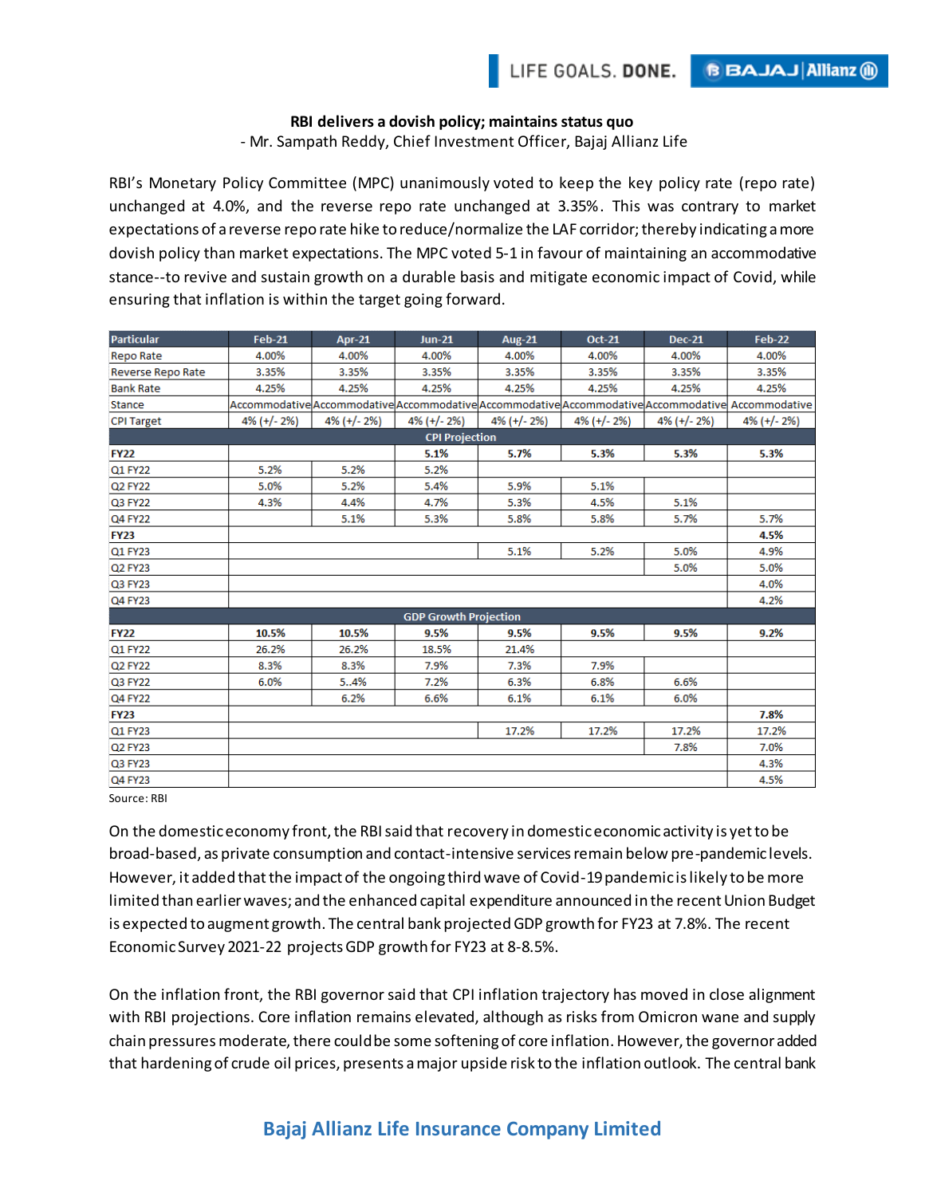**BBAJAJAIIianz** (ii)

## **RBI delivers a dovish policy; maintains status quo**

- Mr. Sampath Reddy, Chief Investment Officer, Bajaj Allianz Life

RBI's Monetary Policy Committee (MPC) unanimously voted to keep the key policy rate (repo rate) unchanged at 4.0%, and the reverse repo rate unchanged at 3.35%. This was contrary to market expectations of a reverse repo rate hike to reduce/normalize the LAF corridor; thereby indicating a more dovish policy than market expectations. The MPC voted 5-1 in favour of maintaining an accommodative stance--to revive and sustain growth on a durable basis and mitigate economic impact of Covid, while ensuring that inflation is within the target going forward.

| <b>Particular</b>            | <b>Feb-21</b>  | Apr-21         | $Jun-21$       | <b>Aug-21</b>  | <b>Oct-21</b>  | <b>Dec-21</b>  | <b>Feb-22</b>                                                                                     |
|------------------------------|----------------|----------------|----------------|----------------|----------------|----------------|---------------------------------------------------------------------------------------------------|
| <b>Repo Rate</b>             | 4.00%          | 4.00%          | 4.00%          | 4.00%          | 4.00%          | 4.00%          | 4.00%                                                                                             |
| Reverse Repo Rate            | 3.35%          | 3.35%          | 3.35%          | 3.35%          | 3.35%          | 3.35%          | 3.35%                                                                                             |
| <b>Bank Rate</b>             | 4.25%          | 4.25%          | 4.25%          | 4.25%          | 4.25%          | 4.25%          | 4.25%                                                                                             |
| Stance                       |                |                |                |                |                |                | Accommodative Accommodative Accommodative Accommodative Accommodative Accommodative Accommodative |
| <b>CPI Target</b>            | $4\%$ (+/- 2%) | $4\%$ (+/- 2%) | $4\%$ (+/- 2%) | $4\%$ (+/- 2%) | $4\%$ (+/- 2%) | $4\%$ (+/- 2%) | $4\%$ (+/- 2%)                                                                                    |
| <b>CPI Projection</b>        |                |                |                |                |                |                |                                                                                                   |
| <b>FY22</b>                  |                |                | 5.1%           | 5.7%           | 5.3%           | 5.3%           | 5.3%                                                                                              |
| Q1 FY22                      | 5.2%           | 5.2%           | 5.2%           |                |                |                |                                                                                                   |
| Q2 FY22                      | 5.0%           | 5.2%           | 5.4%           | 5.9%           | 5.1%           |                |                                                                                                   |
| Q3 FY22                      | 4.3%           | 4.4%           | 4.7%           | 5.3%           | 4.5%           | 5.1%           |                                                                                                   |
| Q4 FY22                      |                | 5.1%           | 5.3%           | 5.8%           | 5.8%           | 5.7%           | 5.7%                                                                                              |
| <b>FY23</b>                  |                |                |                |                |                |                | 4.5%                                                                                              |
| Q1 FY23                      |                |                |                | 5.1%           | 5.2%           | 5.0%           | 4.9%                                                                                              |
| Q2 FY23                      |                |                |                |                |                | 5.0%           | 5.0%                                                                                              |
| Q3 FY23                      |                |                |                |                |                |                | 4.0%                                                                                              |
| Q4 FY23                      |                |                |                |                |                |                | 4.2%                                                                                              |
| <b>GDP Growth Projection</b> |                |                |                |                |                |                |                                                                                                   |
| <b>FY22</b>                  | 10.5%          | 10.5%          | 9.5%           | 9.5%           | 9.5%           | 9.5%           | 9.2%                                                                                              |
| Q1 FY22                      | 26.2%          | 26.2%          | 18.5%          | 21.4%          |                |                |                                                                                                   |
| Q2 FY22                      | 8.3%           | 8.3%           | 7.9%           | 7.3%           | 7.9%           |                |                                                                                                   |
| Q3 FY22                      | 6.0%           | 54%            | 7.2%           | 6.3%           | 6.8%           | 6.6%           |                                                                                                   |
| Q4 FY22                      |                | 6.2%           | 6.6%           | 6.1%           | 6.1%           | 6.0%           |                                                                                                   |
| <b>FY23</b>                  |                |                |                |                |                |                | 7.8%                                                                                              |
| Q1 FY23                      |                |                |                | 17.2%          | 17.2%          | 17.2%          | 17.2%                                                                                             |
| Q2 FY23                      |                |                |                |                |                | 7.8%           | 7.0%                                                                                              |
| Q3 FY23                      |                |                |                |                |                |                | 4.3%                                                                                              |
| Q4 FY23                      |                |                |                |                |                |                | 4.5%                                                                                              |

Source: RBI

On the domestic economy front, the RBI said that recovery in domestic economic activity is yet to be broad-based, as private consumption and contact-intensive services remain below pre-pandemic levels. However, it added that the impact of the ongoing third wave of Covid-19 pandemic is likely to be more limited than earlier waves; and the enhanced capital expenditure announced in the recent Union Budget is expected to augment growth. The central bank projected GDP growth for FY23 at 7.8%. The recent Economic Survey 2021-22 projects GDP growth for FY23 at 8-8.5%.

On the inflation front, the RBI governor said that CPI inflation trajectory has moved in close alignment with RBI projections. Core inflation remains elevated, although as risks from Omicron wane and supply chain pressures moderate, there could be some softening of core inflation. However, the governor added that hardening of crude oil prices, presents a major upside risk to the inflation outlook. The central bank

## **Bajaj Allianz Life Insurance Company Limited**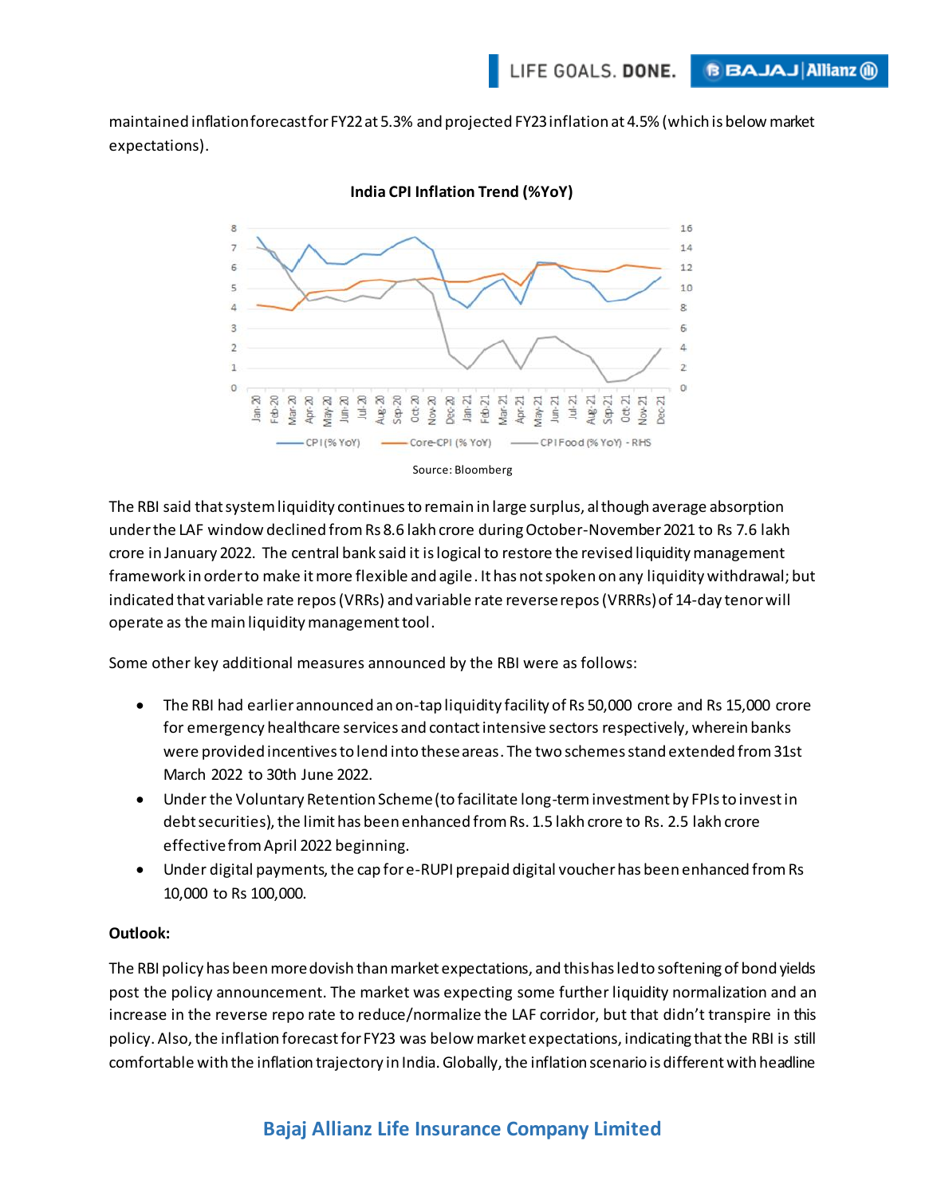maintained inflation forecast for FY22 at 5.3% and projected FY23 inflation at 4.5% (which is below market expectations).



## **India CPI Inflation Trend (%YoY)**

The RBI said that system liquidity continues to remain in large surplus, although average absorption under the LAF window declined from Rs 8.6 lakh crore during October-November 2021 to Rs 7.6 lakh crore in January 2022. The central bank said it is logical to restore the revised liquidity management framework in order to make it more flexible and agile. It has not spoken on any liquidity withdrawal; but indicated that variable rate repos (VRRs) and variable rate reverse repos (VRRRs) of 14-day tenor will operate as the main liquidity management tool.

Some other key additional measures announced by the RBI were as follows:

- The RBI had earlier announced an on-tap liquidity facility of Rs 50,000 crore and Rs 15,000 crore for emergency healthcare services and contact intensive sectors respectively, wherein banks were provided incentives to lend into these areas. The two schemes stand extended from 31st March 2022 to 30th June 2022.
- Under the Voluntary Retention Scheme (to facilitate long-term investment by FPIs to invest in debt securities), the limit has been enhanced from Rs. 1.5 lakh crore to Rs. 2.5 lakh crore effective from April 2022 beginning.
- Under digital payments, the cap for e-RUPI prepaid digital voucher has been enhanced from Rs 10,000 to Rs 100,000.

## **Outlook:**

The RBI policy has been more dovish than market expectations, and this has led to softening of bond yields post the policy announcement. The market was expecting some further liquidity normalization and an increase in the reverse repo rate to reduce/normalize the LAF corridor, but that didn't transpire in this policy. Also, the inflation forecast for FY23 was below market expectations, indicating that the RBI is still comfortable with the inflation trajectory in India. Globally, the inflation scenario is different with headline